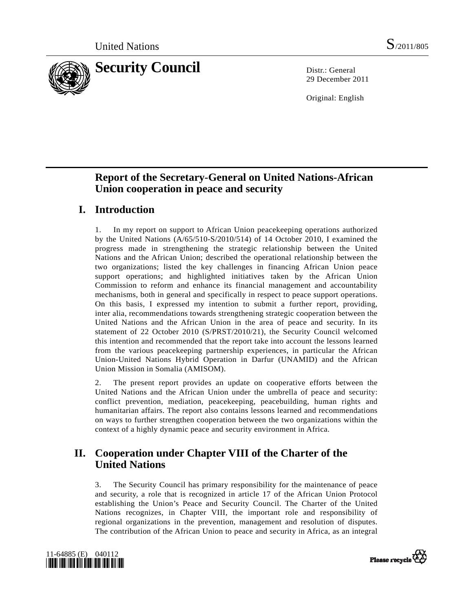

29 December 2011

Original: English

# **Report of the Secretary-General on United Nations-African Union cooperation in peace and security**

# **I. Introduction**

1. In my report on support to African Union peacekeeping operations authorized by the United Nations (A/65/510-S/2010/514) of 14 October 2010, I examined the progress made in strengthening the strategic relationship between the United Nations and the African Union; described the operational relationship between the two organizations; listed the key challenges in financing African Union peace support operations; and highlighted initiatives taken by the African Union Commission to reform and enhance its financial management and accountability mechanisms, both in general and specifically in respect to peace support operations. On this basis, I expressed my intention to submit a further report, providing, inter alia, recommendations towards strengthening strategic cooperation between the United Nations and the African Union in the area of peace and security. In its statement of 22 October 2010 (S/PRST/2010/21), the Security Council welcomed this intention and recommended that the report take into account the lessons learned from the various peacekeeping partnership experiences, in particular the African Union-United Nations Hybrid Operation in Darfur (UNAMID) and the African Union Mission in Somalia (AMISOM).

2. The present report provides an update on cooperative efforts between the United Nations and the African Union under the umbrella of peace and security: conflict prevention, mediation, peacekeeping, peacebuilding, human rights and humanitarian affairs. The report also contains lessons learned and recommendations on ways to further strengthen cooperation between the two organizations within the context of a highly dynamic peace and security environment in Africa.

# **II. Cooperation under Chapter VIII of the Charter of the United Nations**

3. The Security Council has primary responsibility for the maintenance of peace and security, a role that is recognized in article 17 of the African Union Protocol establishing the Union's Peace and Security Council. The Charter of the United Nations recognizes, in Chapter VIII, the important role and responsibility of regional organizations in the prevention, management and resolution of disputes. The contribution of the African Union to peace and security in Africa, as an integral



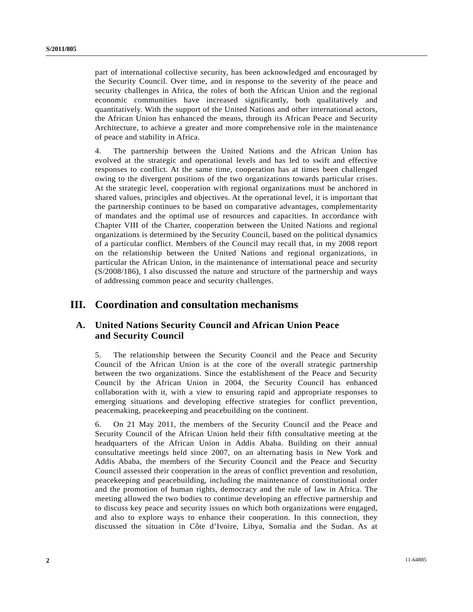part of international collective security, has been acknowledged and encouraged by the Security Council. Over time, and in response to the severity of the peace and security challenges in Africa, the roles of both the African Union and the regional economic communities have increased significantly, both qualitatively and quantitatively. With the support of the United Nations and other international actors, the African Union has enhanced the means, through its African Peace and Security Architecture, to achieve a greater and more comprehensive role in the maintenance of peace and stability in Africa.

4. The partnership between the United Nations and the African Union has evolved at the strategic and operational levels and has led to swift and effective responses to conflict. At the same time, cooperation has at times been challenged owing to the divergent positions of the two organizations towards particular crises. At the strategic level, cooperation with regional organizations must be anchored in shared values, principles and objectives. At the operational level, it is important that the partnership continues to be based on comparative advantages, complementarity of mandates and the optimal use of resources and capacities. In accordance with Chapter VIII of the Charter, cooperation between the United Nations and regional organizations is determined by the Security Council, based on the political dynamics of a particular conflict. Members of the Council may recall that, in my 2008 report on the relationship between the United Nations and regional organizations, in particular the African Union, in the maintenance of international peace and security (S/2008/186), I also discussed the nature and structure of the partnership and ways of addressing common peace and security challenges.

## **III. Coordination and consultation mechanisms**

### **A. United Nations Security Council and African Union Peace and Security Council**

5. The relationship between the Security Council and the Peace and Security Council of the African Union is at the core of the overall strategic partnership between the two organizations. Since the establishment of the Peace and Security Council by the African Union in 2004, the Security Council has enhanced collaboration with it, with a view to ensuring rapid and appropriate responses to emerging situations and developing effective strategies for conflict prevention, peacemaking, peacekeeping and peacebuilding on the continent.

6. On 21 May 2011, the members of the Security Council and the Peace and Security Council of the African Union held their fifth consultative meeting at the headquarters of the African Union in Addis Ababa. Building on their annual consultative meetings held since 2007, on an alternating basis in New York and Addis Ababa, the members of the Security Council and the Peace and Security Council assessed their cooperation in the areas of conflict prevention and resolution, peacekeeping and peacebuilding, including the maintenance of constitutional order and the promotion of human rights, democracy and the rule of law in Africa. The meeting allowed the two bodies to continue developing an effective partnership and to discuss key peace and security issues on which both organizations were engaged, and also to explore ways to enhance their cooperation. In this connection, they discussed the situation in Côte d'Ivoire, Libya, Somalia and the Sudan. As at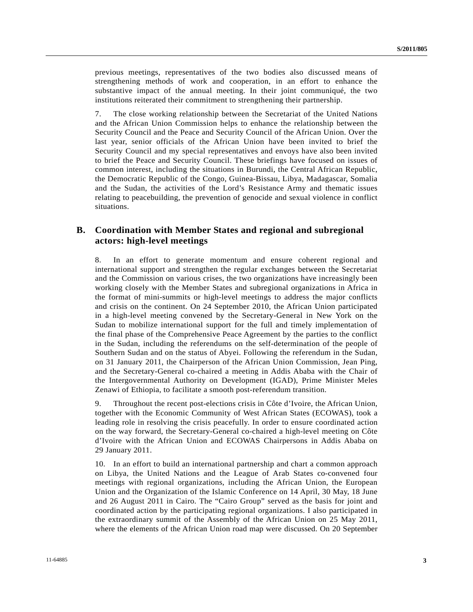previous meetings, representatives of the two bodies also discussed means of strengthening methods of work and cooperation, in an effort to enhance the substantive impact of the annual meeting. In their joint communiqué, the two institutions reiterated their commitment to strengthening their partnership.

7. The close working relationship between the Secretariat of the United Nations and the African Union Commission helps to enhance the relationship between the Security Council and the Peace and Security Council of the African Union. Over the last year, senior officials of the African Union have been invited to brief the Security Council and my special representatives and envoys have also been invited to brief the Peace and Security Council. These briefings have focused on issues of common interest, including the situations in Burundi, the Central African Republic, the Democratic Republic of the Congo, Guinea-Bissau, Libya, Madagascar, Somalia and the Sudan, the activities of the Lord's Resistance Army and thematic issues relating to peacebuilding, the prevention of genocide and sexual violence in conflict situations.

### **B. Coordination with Member States and regional and subregional actors: high-level meetings**

8. In an effort to generate momentum and ensure coherent regional and international support and strengthen the regular exchanges between the Secretariat and the Commission on various crises, the two organizations have increasingly been working closely with the Member States and subregional organizations in Africa in the format of mini-summits or high-level meetings to address the major conflicts and crisis on the continent. On 24 September 2010, the African Union participated in a high-level meeting convened by the Secretary-General in New York on the Sudan to mobilize international support for the full and timely implementation of the final phase of the Comprehensive Peace Agreement by the parties to the conflict in the Sudan, including the referendums on the self-determination of the people of Southern Sudan and on the status of Abyei. Following the referendum in the Sudan, on 31 January 2011, the Chairperson of the African Union Commission, Jean Ping, and the Secretary-General co-chaired a meeting in Addis Ababa with the Chair of the Intergovernmental Authority on Development (IGAD), Prime Minister Meles Zenawi of Ethiopia, to facilitate a smooth post-referendum transition.

9. Throughout the recent post-elections crisis in Côte d'Ivoire, the African Union, together with the Economic Community of West African States (ECOWAS), took a leading role in resolving the crisis peacefully. In order to ensure coordinated action on the way forward, the Secretary-General co-chaired a high-level meeting on Côte d'Ivoire with the African Union and ECOWAS Chairpersons in Addis Ababa on 29 January 2011.

10. In an effort to build an international partnership and chart a common approach on Libya, the United Nations and the League of Arab States co-convened four meetings with regional organizations, including the African Union, the European Union and the Organization of the Islamic Conference on 14 April, 30 May, 18 June and 26 August 2011 in Cairo. The "Cairo Group" served as the basis for joint and coordinated action by the participating regional organizations. I also participated in the extraordinary summit of the Assembly of the African Union on 25 May 2011, where the elements of the African Union road map were discussed. On 20 September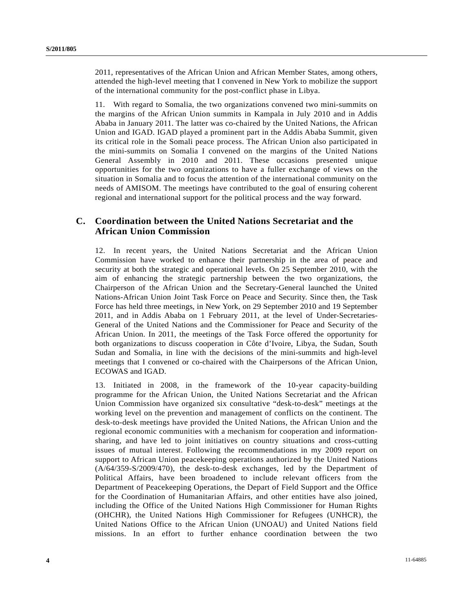2011, representatives of the African Union and African Member States, among others, attended the high-level meeting that I convened in New York to mobilize the support of the international community for the post-conflict phase in Libya.

11. With regard to Somalia, the two organizations convened two mini-summits on the margins of the African Union summits in Kampala in July 2010 and in Addis Ababa in January 2011. The latter was co-chaired by the United Nations, the African Union and IGAD. IGAD played a prominent part in the Addis Ababa Summit, given its critical role in the Somali peace process. The African Union also participated in the mini-summits on Somalia I convened on the margins of the United Nations General Assembly in 2010 and 2011. These occasions presented unique opportunities for the two organizations to have a fuller exchange of views on the situation in Somalia and to focus the attention of the international community on the needs of AMISOM. The meetings have contributed to the goal of ensuring coherent regional and international support for the political process and the way forward.

### **C. Coordination between the United Nations Secretariat and the African Union Commission**

12. In recent years, the United Nations Secretariat and the African Union Commission have worked to enhance their partnership in the area of peace and security at both the strategic and operational levels. On 25 September 2010, with the aim of enhancing the strategic partnership between the two organizations, the Chairperson of the African Union and the Secretary-General launched the United Nations-African Union Joint Task Force on Peace and Security. Since then, the Task Force has held three meetings, in New York, on 29 September 2010 and 19 September 2011, and in Addis Ababa on 1 February 2011, at the level of Under-Secretaries-General of the United Nations and the Commissioner for Peace and Security of the African Union. In 2011, the meetings of the Task Force offered the opportunity for both organizations to discuss cooperation in Côte d'Ivoire, Libya, the Sudan, South Sudan and Somalia, in line with the decisions of the mini-summits and high-level meetings that I convened or co-chaired with the Chairpersons of the African Union, ECOWAS and IGAD.

13. Initiated in 2008, in the framework of the 10-year capacity-building programme for the African Union, the United Nations Secretariat and the African Union Commission have organized six consultative "desk-to-desk" meetings at the working level on the prevention and management of conflicts on the continent. The desk-to-desk meetings have provided the United Nations, the African Union and the regional economic communities with a mechanism for cooperation and informationsharing, and have led to joint initiatives on country situations and cross-cutting issues of mutual interest. Following the recommendations in my 2009 report on support to African Union peacekeeping operations authorized by the United Nations (A/64/359-S/2009/470), the desk-to-desk exchanges, led by the Department of Political Affairs, have been broadened to include relevant officers from the Department of Peacekeeping Operations, the Depart of Field Support and the Office for the Coordination of Humanitarian Affairs, and other entities have also joined, including the Office of the United Nations High Commissioner for Human Rights (OHCHR), the United Nations High Commissioner for Refugees (UNHCR), the United Nations Office to the African Union (UNOAU) and United Nations field missions. In an effort to further enhance coordination between the two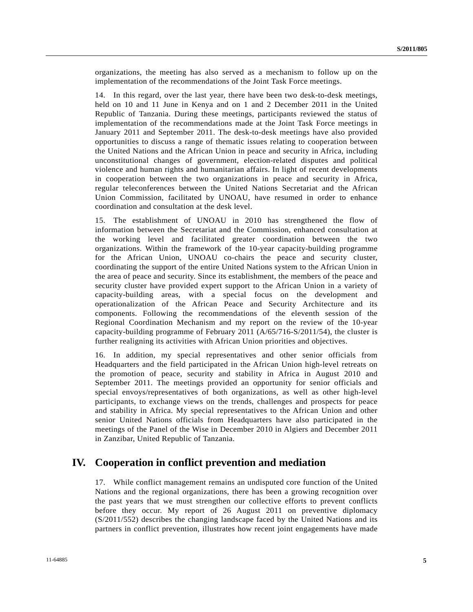organizations, the meeting has also served as a mechanism to follow up on the implementation of the recommendations of the Joint Task Force meetings.

14. In this regard, over the last year, there have been two desk-to-desk meetings, held on 10 and 11 June in Kenya and on 1 and 2 December 2011 in the United Republic of Tanzania. During these meetings, participants reviewed the status of implementation of the recommendations made at the Joint Task Force meetings in January 2011 and September 2011. The desk-to-desk meetings have also provided opportunities to discuss a range of thematic issues relating to cooperation between the United Nations and the African Union in peace and security in Africa, including unconstitutional changes of government, election-related disputes and political violence and human rights and humanitarian affairs. In light of recent developments in cooperation between the two organizations in peace and security in Africa, regular teleconferences between the United Nations Secretariat and the African Union Commission, facilitated by UNOAU, have resumed in order to enhance coordination and consultation at the desk level.

15. The establishment of UNOAU in 2010 has strengthened the flow of information between the Secretariat and the Commission, enhanced consultation at the working level and facilitated greater coordination between the two organizations. Within the framework of the 10-year capacity-building programme for the African Union, UNOAU co-chairs the peace and security cluster, coordinating the support of the entire United Nations system to the African Union in the area of peace and security. Since its establishment, the members of the peace and security cluster have provided expert support to the African Union in a variety of capacity-building areas, with a special focus on the development and operationalization of the African Peace and Security Architecture and its components. Following the recommendations of the eleventh session of the Regional Coordination Mechanism and my report on the review of the 10-year capacity-building programme of February 2011 (A/65/716-S/2011/54), the cluster is further realigning its activities with African Union priorities and objectives.

16. In addition, my special representatives and other senior officials from Headquarters and the field participated in the African Union high-level retreats on the promotion of peace, security and stability in Africa in August 2010 and September 2011. The meetings provided an opportunity for senior officials and special envoys/representatives of both organizations, as well as other high-level participants, to exchange views on the trends, challenges and prospects for peace and stability in Africa. My special representatives to the African Union and other senior United Nations officials from Headquarters have also participated in the meetings of the Panel of the Wise in December 2010 in Algiers and December 2011 in Zanzibar, United Republic of Tanzania.

### **IV. Cooperation in conflict prevention and mediation**

17. While conflict management remains an undisputed core function of the United Nations and the regional organizations, there has been a growing recognition over the past years that we must strengthen our collective efforts to prevent conflicts before they occur. My report of 26 August 2011 on preventive diplomacy (S/2011/552) describes the changing landscape faced by the United Nations and its partners in conflict prevention, illustrates how recent joint engagements have made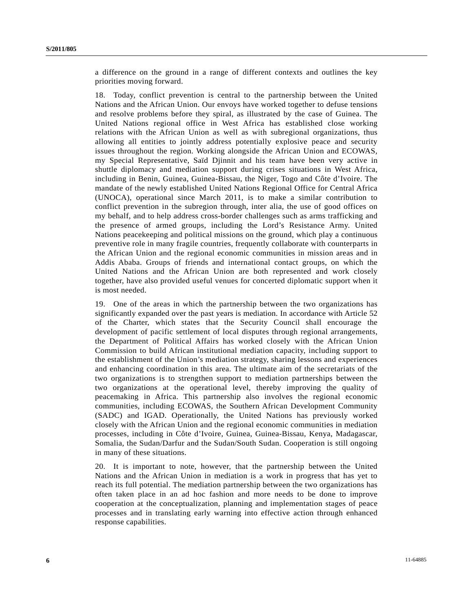a difference on the ground in a range of different contexts and outlines the key priorities moving forward.

18. Today, conflict prevention is central to the partnership between the United Nations and the African Union. Our envoys have worked together to defuse tensions and resolve problems before they spiral, as illustrated by the case of Guinea. The United Nations regional office in West Africa has established close working relations with the African Union as well as with subregional organizations, thus allowing all entities to jointly address potentially explosive peace and security issues throughout the region. Working alongside the African Union and ECOWAS, my Special Representative, Saïd Djinnit and his team have been very active in shuttle diplomacy and mediation support during crises situations in West Africa, including in Benin, Guinea, Guinea-Bissau, the Niger, Togo and Côte d'Ivoire. The mandate of the newly established United Nations Regional Office for Central Africa (UNOCA), operational since March 2011, is to make a similar contribution to conflict prevention in the subregion through, inter alia, the use of good offices on my behalf, and to help address cross-border challenges such as arms trafficking and the presence of armed groups, including the Lord's Resistance Army. United Nations peacekeeping and political missions on the ground, which play a continuous preventive role in many fragile countries, frequently collaborate with counterparts in the African Union and the regional economic communities in mission areas and in Addis Ababa. Groups of friends and international contact groups, on which the United Nations and the African Union are both represented and work closely together, have also provided useful venues for concerted diplomatic support when it is most needed.

19. One of the areas in which the partnership between the two organizations has significantly expanded over the past years is mediation. In accordance with Article 52 of the Charter, which states that the Security Council shall encourage the development of pacific settlement of local disputes through regional arrangements, the Department of Political Affairs has worked closely with the African Union Commission to build African institutional mediation capacity, including support to the establishment of the Union's mediation strategy, sharing lessons and experiences and enhancing coordination in this area. The ultimate aim of the secretariats of the two organizations is to strengthen support to mediation partnerships between the two organizations at the operational level, thereby improving the quality of peacemaking in Africa. This partnership also involves the regional economic communities, including ECOWAS, the Southern African Development Community (SADC) and IGAD. Operationally, the United Nations has previously worked closely with the African Union and the regional economic communities in mediation processes, including in Côte d'Ivoire, Guinea, Guinea-Bissau, Kenya, Madagascar, Somalia, the Sudan/Darfur and the Sudan/South Sudan. Cooperation is still ongoing in many of these situations.

20. It is important to note, however, that the partnership between the United Nations and the African Union in mediation is a work in progress that has yet to reach its full potential. The mediation partnership between the two organizations has often taken place in an ad hoc fashion and more needs to be done to improve cooperation at the conceptualization, planning and implementation stages of peace processes and in translating early warning into effective action through enhanced response capabilities.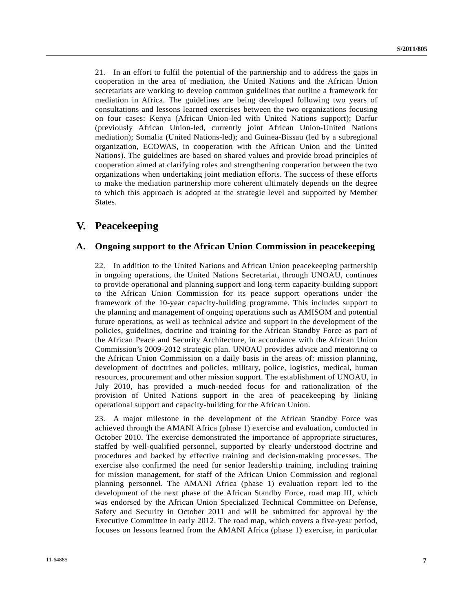21. In an effort to fulfil the potential of the partnership and to address the gaps in cooperation in the area of mediation, the United Nations and the African Union secretariats are working to develop common guidelines that outline a framework for mediation in Africa. The guidelines are being developed following two years of consultations and lessons learned exercises between the two organizations focusing on four cases: Kenya (African Union-led with United Nations support); Darfur (previously African Union-led, currently joint African Union-United Nations mediation); Somalia (United Nations-led); and Guinea-Bissau (led by a subregional organization, ECOWAS, in cooperation with the African Union and the United Nations). The guidelines are based on shared values and provide broad principles of cooperation aimed at clarifying roles and strengthening cooperation between the two organizations when undertaking joint mediation efforts. The success of these efforts to make the mediation partnership more coherent ultimately depends on the degree to which this approach is adopted at the strategic level and supported by Member States.

### **V. Peacekeeping**

### **A. Ongoing support to the African Union Commission in peacekeeping**

22. In addition to the United Nations and African Union peacekeeping partnership in ongoing operations, the United Nations Secretariat, through UNOAU, continues to provide operational and planning support and long-term capacity-building support to the African Union Commission for its peace support operations under the framework of the 10-year capacity-building programme. This includes support to the planning and management of ongoing operations such as AMISOM and potential future operations, as well as technical advice and support in the development of the policies, guidelines, doctrine and training for the African Standby Force as part of the African Peace and Security Architecture, in accordance with the African Union Commission's 2009-2012 strategic plan. UNOAU provides advice and mentoring to the African Union Commission on a daily basis in the areas of: mission planning, development of doctrines and policies, military, police, logistics, medical, human resources, procurement and other mission support. The establishment of UNOAU, in July 2010, has provided a much-needed focus for and rationalization of the provision of United Nations support in the area of peacekeeping by linking operational support and capacity-building for the African Union.

23. A major milestone in the development of the African Standby Force was achieved through the AMANI Africa (phase 1) exercise and evaluation, conducted in October 2010. The exercise demonstrated the importance of appropriate structures, staffed by well-qualified personnel, supported by clearly understood doctrine and procedures and backed by effective training and decision-making processes. The exercise also confirmed the need for senior leadership training, including training for mission management, for staff of the African Union Commission and regional planning personnel. The AMANI Africa (phase 1) evaluation report led to the development of the next phase of the African Standby Force, road map III, which was endorsed by the African Union Specialized Technical Committee on Defense, Safety and Security in October 2011 and will be submitted for approval by the Executive Committee in early 2012. The road map, which covers a five-year period, focuses on lessons learned from the AMANI Africa (phase 1) exercise, in particular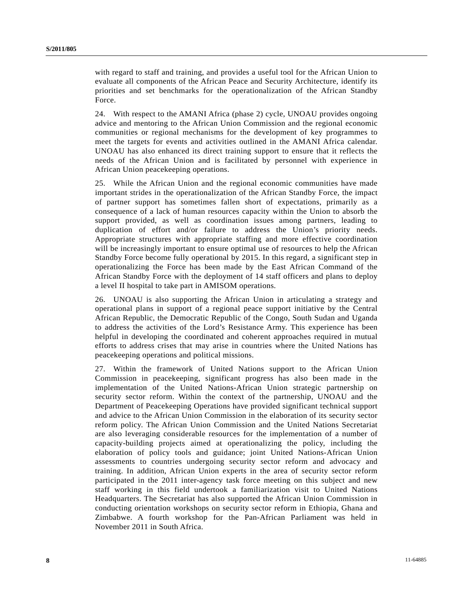with regard to staff and training, and provides a useful tool for the African Union to evaluate all components of the African Peace and Security Architecture, identify its priorities and set benchmarks for the operationalization of the African Standby Force.

24. With respect to the AMANI Africa (phase 2) cycle, UNOAU provides ongoing advice and mentoring to the African Union Commission and the regional economic communities or regional mechanisms for the development of key programmes to meet the targets for events and activities outlined in the AMANI Africa calendar. UNOAU has also enhanced its direct training support to ensure that it reflects the needs of the African Union and is facilitated by personnel with experience in African Union peacekeeping operations.

25. While the African Union and the regional economic communities have made important strides in the operationalization of the African Standby Force, the impact of partner support has sometimes fallen short of expectations, primarily as a consequence of a lack of human resources capacity within the Union to absorb the support provided, as well as coordination issues among partners, leading to duplication of effort and/or failure to address the Union's priority needs. Appropriate structures with appropriate staffing and more effective coordination will be increasingly important to ensure optimal use of resources to help the African Standby Force become fully operational by 2015. In this regard, a significant step in operationalizing the Force has been made by the East African Command of the African Standby Force with the deployment of 14 staff officers and plans to deploy a level II hospital to take part in AMISOM operations.

26. UNOAU is also supporting the African Union in articulating a strategy and operational plans in support of a regional peace support initiative by the Central African Republic, the Democratic Republic of the Congo, South Sudan and Uganda to address the activities of the Lord's Resistance Army. This experience has been helpful in developing the coordinated and coherent approaches required in mutual efforts to address crises that may arise in countries where the United Nations has peacekeeping operations and political missions.

27. Within the framework of United Nations support to the African Union Commission in peacekeeping, significant progress has also been made in the implementation of the United Nations-African Union strategic partnership on security sector reform. Within the context of the partnership, UNOAU and the Department of Peacekeeping Operations have provided significant technical support and advice to the African Union Commission in the elaboration of its security sector reform policy. The African Union Commission and the United Nations Secretariat are also leveraging considerable resources for the implementation of a number of capacity-building projects aimed at operationalizing the policy, including the elaboration of policy tools and guidance; joint United Nations-African Union assessments to countries undergoing security sector reform and advocacy and training. In addition, African Union experts in the area of security sector reform participated in the 2011 inter-agency task force meeting on this subject and new staff working in this field undertook a familiarization visit to United Nations Headquarters. The Secretariat has also supported the African Union Commission in conducting orientation workshops on security sector reform in Ethiopia, Ghana and Zimbabwe. A fourth workshop for the Pan-African Parliament was held in November 2011 in South Africa.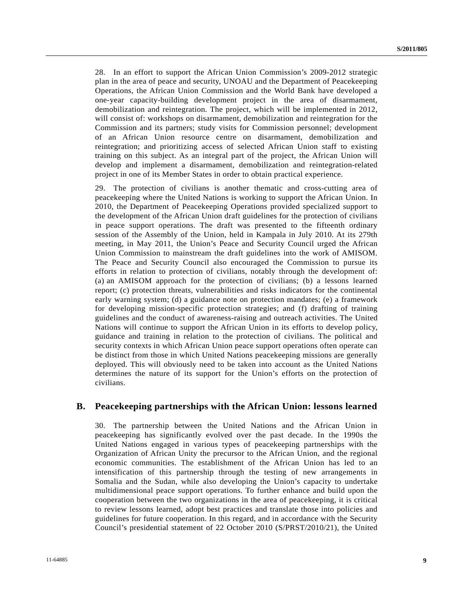28. In an effort to support the African Union Commission's 2009-2012 strategic plan in the area of peace and security, UNOAU and the Department of Peacekeeping Operations, the African Union Commission and the World Bank have developed a one-year capacity-building development project in the area of disarmament, demobilization and reintegration. The project, which will be implemented in 2012, will consist of: workshops on disarmament, demobilization and reintegration for the Commission and its partners; study visits for Commission personnel; development of an African Union resource centre on disarmament, demobilization and reintegration; and prioritizing access of selected African Union staff to existing training on this subject. As an integral part of the project, the African Union will develop and implement a disarmament, demobilization and reintegration-related project in one of its Member States in order to obtain practical experience.

29. The protection of civilians is another thematic and cross-cutting area of peacekeeping where the United Nations is working to support the African Union. In 2010, the Department of Peacekeeping Operations provided specialized support to the development of the African Union draft guidelines for the protection of civilians in peace support operations. The draft was presented to the fifteenth ordinary session of the Assembly of the Union, held in Kampala in July 2010. At its 279th meeting, in May 2011, the Union's Peace and Security Council urged the African Union Commission to mainstream the draft guidelines into the work of AMISOM. The Peace and Security Council also encouraged the Commission to pursue its efforts in relation to protection of civilians, notably through the development of: (a) an AMISOM approach for the protection of civilians; (b) a lessons learned report; (c) protection threats, vulnerabilities and risks indicators for the continental early warning system; (d) a guidance note on protection mandates; (e) a framework for developing mission-specific protection strategies; and (f) drafting of training guidelines and the conduct of awareness-raising and outreach activities. The United Nations will continue to support the African Union in its efforts to develop policy, guidance and training in relation to the protection of civilians. The political and security contexts in which African Union peace support operations often operate can be distinct from those in which United Nations peacekeeping missions are generally deployed. This will obviously need to be taken into account as the United Nations determines the nature of its support for the Union's efforts on the protection of civilians.

### **B. Peacekeeping partnerships with the African Union: lessons learned**

30. The partnership between the United Nations and the African Union in peacekeeping has significantly evolved over the past decade. In the 1990s the United Nations engaged in various types of peacekeeping partnerships with the Organization of African Unity the precursor to the African Union, and the regional economic communities. The establishment of the African Union has led to an intensification of this partnership through the testing of new arrangements in Somalia and the Sudan, while also developing the Union's capacity to undertake multidimensional peace support operations. To further enhance and build upon the cooperation between the two organizations in the area of peacekeeping, it is critical to review lessons learned, adopt best practices and translate those into policies and guidelines for future cooperation. In this regard, and in accordance with the Security Council's presidential statement of 22 October 2010 (S/PRST/2010/21), the United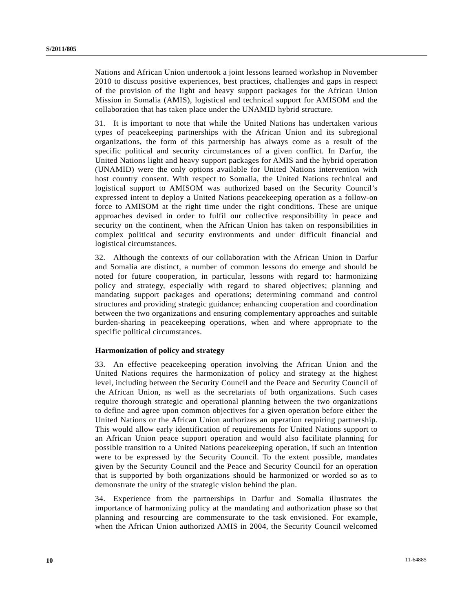Nations and African Union undertook a joint lessons learned workshop in November 2010 to discuss positive experiences, best practices, challenges and gaps in respect of the provision of the light and heavy support packages for the African Union Mission in Somalia (AMIS), logistical and technical support for AMISOM and the collaboration that has taken place under the UNAMID hybrid structure.

31. It is important to note that while the United Nations has undertaken various types of peacekeeping partnerships with the African Union and its subregional organizations, the form of this partnership has always come as a result of the specific political and security circumstances of a given conflict. In Darfur, the United Nations light and heavy support packages for AMIS and the hybrid operation (UNAMID) were the only options available for United Nations intervention with host country consent. With respect to Somalia, the United Nations technical and logistical support to AMISOM was authorized based on the Security Council's expressed intent to deploy a United Nations peacekeeping operation as a follow-on force to AMISOM at the right time under the right conditions. These are unique approaches devised in order to fulfil our collective responsibility in peace and security on the continent, when the African Union has taken on responsibilities in complex political and security environments and under difficult financial and logistical circumstances.

32. Although the contexts of our collaboration with the African Union in Darfur and Somalia are distinct, a number of common lessons do emerge and should be noted for future cooperation, in particular, lessons with regard to: harmonizing policy and strategy, especially with regard to shared objectives; planning and mandating support packages and operations; determining command and control structures and providing strategic guidance; enhancing cooperation and coordination between the two organizations and ensuring complementary approaches and suitable burden-sharing in peacekeeping operations, when and where appropriate to the specific political circumstances.

#### **Harmonization of policy and strategy**

33. An effective peacekeeping operation involving the African Union and the United Nations requires the harmonization of policy and strategy at the highest level, including between the Security Council and the Peace and Security Council of the African Union, as well as the secretariats of both organizations. Such cases require thorough strategic and operational planning between the two organizations to define and agree upon common objectives for a given operation before either the United Nations or the African Union authorizes an operation requiring partnership. This would allow early identification of requirements for United Nations support to an African Union peace support operation and would also facilitate planning for possible transition to a United Nations peacekeeping operation, if such an intention were to be expressed by the Security Council. To the extent possible, mandates given by the Security Council and the Peace and Security Council for an operation that is supported by both organizations should be harmonized or worded so as to demonstrate the unity of the strategic vision behind the plan.

34. Experience from the partnerships in Darfur and Somalia illustrates the importance of harmonizing policy at the mandating and authorization phase so that planning and resourcing are commensurate to the task envisioned. For example, when the African Union authorized AMIS in 2004, the Security Council welcomed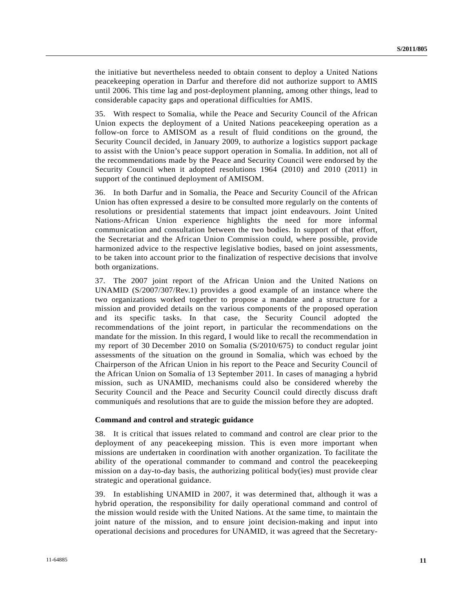the initiative but nevertheless needed to obtain consent to deploy a United Nations peacekeeping operation in Darfur and therefore did not authorize support to AMIS until 2006. This time lag and post-deployment planning, among other things, lead to considerable capacity gaps and operational difficulties for AMIS.

35. With respect to Somalia, while the Peace and Security Council of the African Union expects the deployment of a United Nations peacekeeping operation as a follow-on force to AMISOM as a result of fluid conditions on the ground, the Security Council decided, in January 2009, to authorize a logistics support package to assist with the Union's peace support operation in Somalia. In addition, not all of the recommendations made by the Peace and Security Council were endorsed by the Security Council when it adopted resolutions 1964 (2010) and 2010 (2011) in support of the continued deployment of AMISOM.

36. In both Darfur and in Somalia, the Peace and Security Council of the African Union has often expressed a desire to be consulted more regularly on the contents of resolutions or presidential statements that impact joint endeavours. Joint United Nations-African Union experience highlights the need for more informal communication and consultation between the two bodies. In support of that effort, the Secretariat and the African Union Commission could, where possible, provide harmonized advice to the respective legislative bodies, based on joint assessments, to be taken into account prior to the finalization of respective decisions that involve both organizations.

37. The 2007 joint report of the African Union and the United Nations on UNAMID (S/2007/307/Rev.1) provides a good example of an instance where the two organizations worked together to propose a mandate and a structure for a mission and provided details on the various components of the proposed operation and its specific tasks. In that case, the Security Council adopted the recommendations of the joint report, in particular the recommendations on the mandate for the mission. In this regard, I would like to recall the recommendation in my report of 30 December 2010 on Somalia (S/2010/675) to conduct regular joint assessments of the situation on the ground in Somalia, which was echoed by the Chairperson of the African Union in his report to the Peace and Security Council of the African Union on Somalia of 13 September 2011. In cases of managing a hybrid mission, such as UNAMID, mechanisms could also be considered whereby the Security Council and the Peace and Security Council could directly discuss draft communiqués and resolutions that are to guide the mission before they are adopted.

#### **Command and control and strategic guidance**

38. It is critical that issues related to command and control are clear prior to the deployment of any peacekeeping mission. This is even more important when missions are undertaken in coordination with another organization. To facilitate the ability of the operational commander to command and control the peacekeeping mission on a day-to-day basis, the authorizing political body(ies) must provide clear strategic and operational guidance.

39. In establishing UNAMID in 2007, it was determined that, although it was a hybrid operation, the responsibility for daily operational command and control of the mission would reside with the United Nations. At the same time, to maintain the joint nature of the mission, and to ensure joint decision-making and input into operational decisions and procedures for UNAMID, it was agreed that the Secretary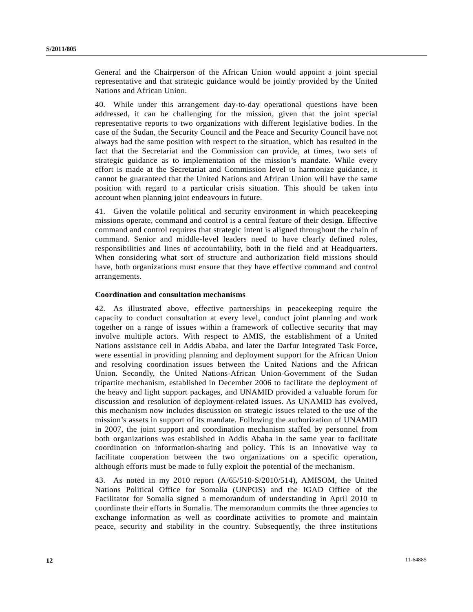General and the Chairperson of the African Union would appoint a joint special representative and that strategic guidance would be jointly provided by the United Nations and African Union.

40. While under this arrangement day-to-day operational questions have been addressed, it can be challenging for the mission, given that the joint special representative reports to two organizations with different legislative bodies. In the case of the Sudan, the Security Council and the Peace and Security Council have not always had the same position with respect to the situation, which has resulted in the fact that the Secretariat and the Commission can provide, at times, two sets of strategic guidance as to implementation of the mission's mandate. While every effort is made at the Secretariat and Commission level to harmonize guidance, it cannot be guaranteed that the United Nations and African Union will have the same position with regard to a particular crisis situation. This should be taken into account when planning joint endeavours in future.

41. Given the volatile political and security environment in which peacekeeping missions operate, command and control is a central feature of their design. Effective command and control requires that strategic intent is aligned throughout the chain of command. Senior and middle-level leaders need to have clearly defined roles, responsibilities and lines of accountability, both in the field and at Headquarters. When considering what sort of structure and authorization field missions should have, both organizations must ensure that they have effective command and control arrangements.

### **Coordination and consultation mechanisms**

42. As illustrated above, effective partnerships in peacekeeping require the capacity to conduct consultation at every level, conduct joint planning and work together on a range of issues within a framework of collective security that may involve multiple actors. With respect to AMIS, the establishment of a United Nations assistance cell in Addis Ababa, and later the Darfur Integrated Task Force, were essential in providing planning and deployment support for the African Union and resolving coordination issues between the United Nations and the African Union. Secondly, the United Nations-African Union-Government of the Sudan tripartite mechanism, established in December 2006 to facilitate the deployment of the heavy and light support packages, and UNAMID provided a valuable forum for discussion and resolution of deployment-related issues. As UNAMID has evolved, this mechanism now includes discussion on strategic issues related to the use of the mission's assets in support of its mandate. Following the authorization of UNAMID in 2007, the joint support and coordination mechanism staffed by personnel from both organizations was established in Addis Ababa in the same year to facilitate coordination on information-sharing and policy. This is an innovative way to facilitate cooperation between the two organizations on a specific operation, although efforts must be made to fully exploit the potential of the mechanism.

43. As noted in my 2010 report (A/65/510-S/2010/514), AMISOM, the United Nations Political Office for Somalia (UNPOS) and the IGAD Office of the Facilitator for Somalia signed a memorandum of understanding in April 2010 to coordinate their efforts in Somalia. The memorandum commits the three agencies to exchange information as well as coordinate activities to promote and maintain peace, security and stability in the country. Subsequently, the three institutions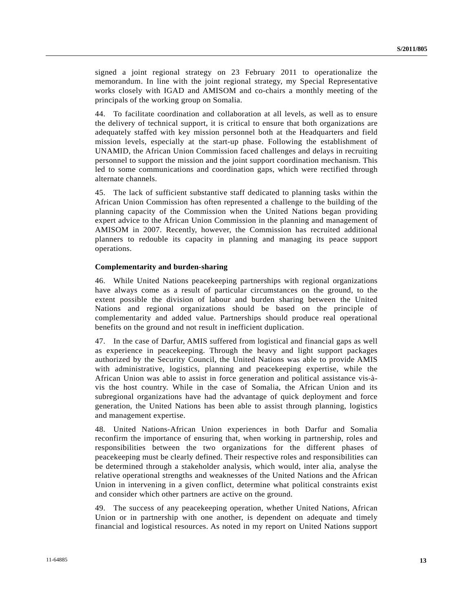signed a joint regional strategy on 23 February 2011 to operationalize the memorandum. In line with the joint regional strategy, my Special Representative works closely with IGAD and AMISOM and co-chairs a monthly meeting of the principals of the working group on Somalia.

44. To facilitate coordination and collaboration at all levels, as well as to ensure the delivery of technical support, it is critical to ensure that both organizations are adequately staffed with key mission personnel both at the Headquarters and field mission levels, especially at the start-up phase. Following the establishment of UNAMID, the African Union Commission faced challenges and delays in recruiting personnel to support the mission and the joint support coordination mechanism. This led to some communications and coordination gaps, which were rectified through alternate channels.

45. The lack of sufficient substantive staff dedicated to planning tasks within the African Union Commission has often represented a challenge to the building of the planning capacity of the Commission when the United Nations began providing expert advice to the African Union Commission in the planning and management of AMISOM in 2007. Recently, however, the Commission has recruited additional planners to redouble its capacity in planning and managing its peace support operations.

#### **Complementarity and burden-sharing**

46. While United Nations peacekeeping partnerships with regional organizations have always come as a result of particular circumstances on the ground, to the extent possible the division of labour and burden sharing between the United Nations and regional organizations should be based on the principle of complementarity and added value. Partnerships should produce real operational benefits on the ground and not result in inefficient duplication.

47. In the case of Darfur, AMIS suffered from logistical and financial gaps as well as experience in peacekeeping. Through the heavy and light support packages authorized by the Security Council, the United Nations was able to provide AMIS with administrative, logistics, planning and peacekeeping expertise, while the African Union was able to assist in force generation and political assistance vis-àvis the host country. While in the case of Somalia, the African Union and its subregional organizations have had the advantage of quick deployment and force generation, the United Nations has been able to assist through planning, logistics and management expertise.

48. United Nations-African Union experiences in both Darfur and Somalia reconfirm the importance of ensuring that, when working in partnership, roles and responsibilities between the two organizations for the different phases of peacekeeping must be clearly defined. Their respective roles and responsibilities can be determined through a stakeholder analysis, which would, inter alia, analyse the relative operational strengths and weaknesses of the United Nations and the African Union in intervening in a given conflict, determine what political constraints exist and consider which other partners are active on the ground.

49. The success of any peacekeeping operation, whether United Nations, African Union or in partnership with one another, is dependent on adequate and timely financial and logistical resources. As noted in my report on United Nations support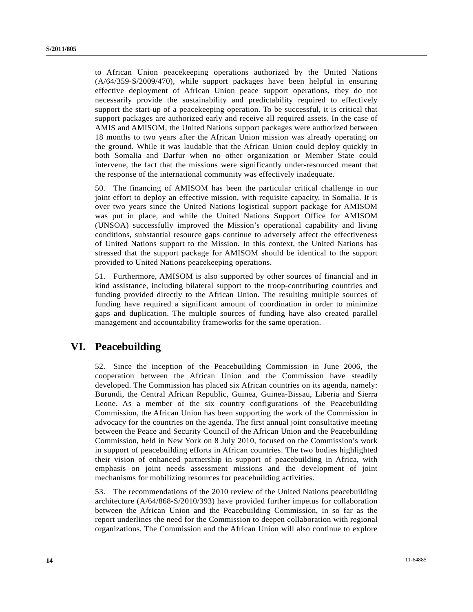to African Union peacekeeping operations authorized by the United Nations (A/64/359-S/2009/470), while support packages have been helpful in ensuring effective deployment of African Union peace support operations, they do not necessarily provide the sustainability and predictability required to effectively support the start-up of a peacekeeping operation. To be successful, it is critical that support packages are authorized early and receive all required assets. In the case of AMIS and AMISOM, the United Nations support packages were authorized between 18 months to two years after the African Union mission was already operating on the ground. While it was laudable that the African Union could deploy quickly in both Somalia and Darfur when no other organization or Member State could intervene, the fact that the missions were significantly under-resourced meant that the response of the international community was effectively inadequate.

50. The financing of AMISOM has been the particular critical challenge in our joint effort to deploy an effective mission, with requisite capacity, in Somalia. It is over two years since the United Nations logistical support package for AMISOM was put in place, and while the United Nations Support Office for AMISOM (UNSOA) successfully improved the Mission's operational capability and living conditions, substantial resource gaps continue to adversely affect the effectiveness of United Nations support to the Mission. In this context, the United Nations has stressed that the support package for AMISOM should be identical to the support provided to United Nations peacekeeping operations.

51. Furthermore, AMISOM is also supported by other sources of financial and in kind assistance, including bilateral support to the troop-contributing countries and funding provided directly to the African Union. The resulting multiple sources of funding have required a significant amount of coordination in order to minimize gaps and duplication. The multiple sources of funding have also created parallel management and accountability frameworks for the same operation.

## **VI. Peacebuilding**

52. Since the inception of the Peacebuilding Commission in June 2006, the cooperation between the African Union and the Commission have steadily developed. The Commission has placed six African countries on its agenda, namely: Burundi, the Central African Republic, Guinea, Guinea-Bissau, Liberia and Sierra Leone. As a member of the six country configurations of the Peacebuilding Commission, the African Union has been supporting the work of the Commission in advocacy for the countries on the agenda. The first annual joint consultative meeting between the Peace and Security Council of the African Union and the Peacebuilding Commission, held in New York on 8 July 2010, focused on the Commission's work in support of peacebuilding efforts in African countries. The two bodies highlighted their vision of enhanced partnership in support of peacebuilding in Africa, with emphasis on joint needs assessment missions and the development of joint mechanisms for mobilizing resources for peacebuilding activities.

53. The recommendations of the 2010 review of the United Nations peacebuilding architecture (A/64/868-S/2010/393) have provided further impetus for collaboration between the African Union and the Peacebuilding Commission, in so far as the report underlines the need for the Commission to deepen collaboration with regional organizations. The Commission and the African Union will also continue to explore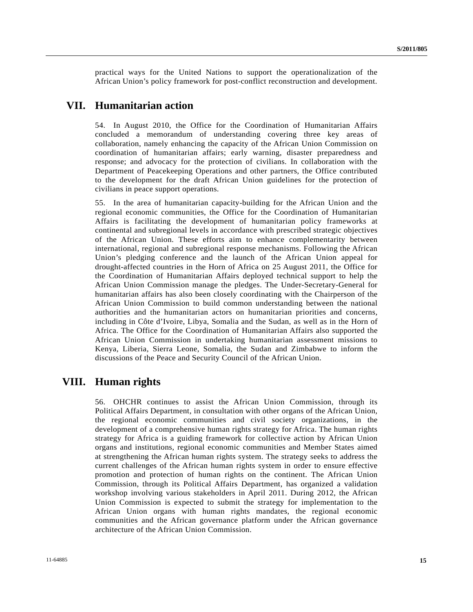practical ways for the United Nations to support the operationalization of the African Union's policy framework for post-conflict reconstruction and development.

# **VII. Humanitarian action**

54. In August 2010, the Office for the Coordination of Humanitarian Affairs concluded a memorandum of understanding covering three key areas of collaboration, namely enhancing the capacity of the African Union Commission on coordination of humanitarian affairs; early warning, disaster preparedness and response; and advocacy for the protection of civilians. In collaboration with the Department of Peacekeeping Operations and other partners, the Office contributed to the development for the draft African Union guidelines for the protection of civilians in peace support operations.

55. In the area of humanitarian capacity-building for the African Union and the regional economic communities, the Office for the Coordination of Humanitarian Affairs is facilitating the development of humanitarian policy frameworks at continental and subregional levels in accordance with prescribed strategic objectives of the African Union. These efforts aim to enhance complementarity between international, regional and subregional response mechanisms. Following the African Union's pledging conference and the launch of the African Union appeal for drought-affected countries in the Horn of Africa on 25 August 2011, the Office for the Coordination of Humanitarian Affairs deployed technical support to help the African Union Commission manage the pledges. The Under-Secretary-General for humanitarian affairs has also been closely coordinating with the Chairperson of the African Union Commission to build common understanding between the national authorities and the humanitarian actors on humanitarian priorities and concerns, including in Côte d'Ivoire, Libya, Somalia and the Sudan, as well as in the Horn of Africa. The Office for the Coordination of Humanitarian Affairs also supported the African Union Commission in undertaking humanitarian assessment missions to Kenya, Liberia, Sierra Leone, Somalia, the Sudan and Zimbabwe to inform the discussions of the Peace and Security Council of the African Union.

# **VIII. Human rights**

56. OHCHR continues to assist the African Union Commission, through its Political Affairs Department, in consultation with other organs of the African Union, the regional economic communities and civil society organizations, in the development of a comprehensive human rights strategy for Africa. The human rights strategy for Africa is a guiding framework for collective action by African Union organs and institutions, regional economic communities and Member States aimed at strengthening the African human rights system. The strategy seeks to address the current challenges of the African human rights system in order to ensure effective promotion and protection of human rights on the continent. The African Union Commission, through its Political Affairs Department, has organized a validation workshop involving various stakeholders in April 2011. During 2012, the African Union Commission is expected to submit the strategy for implementation to the African Union organs with human rights mandates, the regional economic communities and the African governance platform under the African governance architecture of the African Union Commission.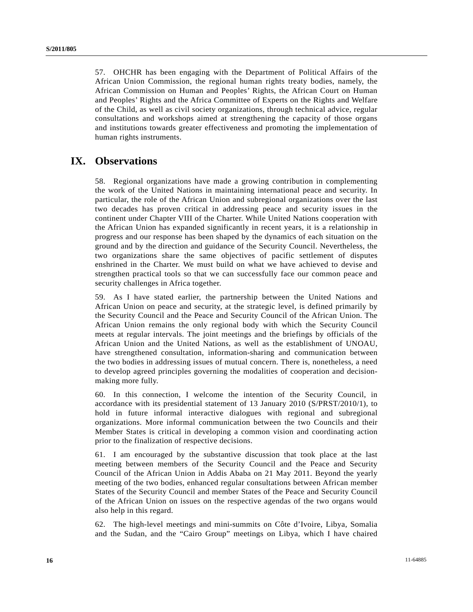57. OHCHR has been engaging with the Department of Political Affairs of the African Union Commission, the regional human rights treaty bodies, namely, the African Commission on Human and Peoples' Rights, the African Court on Human and Peoples' Rights and the Africa Committee of Experts on the Rights and Welfare of the Child, as well as civil society organizations, through technical advice, regular consultations and workshops aimed at strengthening the capacity of those organs and institutions towards greater effectiveness and promoting the implementation of human rights instruments.

## **IX. Observations**

58. Regional organizations have made a growing contribution in complementing the work of the United Nations in maintaining international peace and security. In particular, the role of the African Union and subregional organizations over the last two decades has proven critical in addressing peace and security issues in the continent under Chapter VIII of the Charter. While United Nations cooperation with the African Union has expanded significantly in recent years, it is a relationship in progress and our response has been shaped by the dynamics of each situation on the ground and by the direction and guidance of the Security Council. Nevertheless, the two organizations share the same objectives of pacific settlement of disputes enshrined in the Charter. We must build on what we have achieved to devise and strengthen practical tools so that we can successfully face our common peace and security challenges in Africa together.

59. As I have stated earlier, the partnership between the United Nations and African Union on peace and security, at the strategic level, is defined primarily by the Security Council and the Peace and Security Council of the African Union. The African Union remains the only regional body with which the Security Council meets at regular intervals. The joint meetings and the briefings by officials of the African Union and the United Nations, as well as the establishment of UNOAU, have strengthened consultation, information-sharing and communication between the two bodies in addressing issues of mutual concern. There is, nonetheless, a need to develop agreed principles governing the modalities of cooperation and decisionmaking more fully.

60. In this connection, I welcome the intention of the Security Council, in accordance with its presidential statement of 13 January 2010 (S/PRST/2010/1), to hold in future informal interactive dialogues with regional and subregional organizations. More informal communication between the two Councils and their Member States is critical in developing a common vision and coordinating action prior to the finalization of respective decisions.

61. I am encouraged by the substantive discussion that took place at the last meeting between members of the Security Council and the Peace and Security Council of the African Union in Addis Ababa on 21 May 2011. Beyond the yearly meeting of the two bodies, enhanced regular consultations between African member States of the Security Council and member States of the Peace and Security Council of the African Union on issues on the respective agendas of the two organs would also help in this regard.

62. The high-level meetings and mini-summits on Côte d'Ivoire, Libya, Somalia and the Sudan, and the "Cairo Group" meetings on Libya, which I have chaired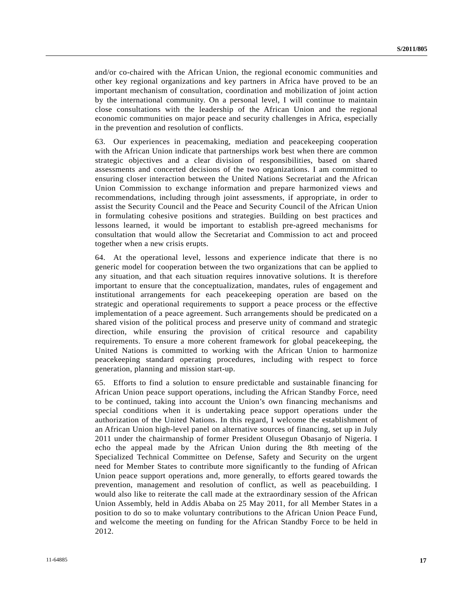and/or co-chaired with the African Union, the regional economic communities and other key regional organizations and key partners in Africa have proved to be an important mechanism of consultation, coordination and mobilization of joint action by the international community. On a personal level, I will continue to maintain close consultations with the leadership of the African Union and the regional economic communities on major peace and security challenges in Africa, especially in the prevention and resolution of conflicts.

63. Our experiences in peacemaking, mediation and peacekeeping cooperation with the African Union indicate that partnerships work best when there are common strategic objectives and a clear division of responsibilities, based on shared assessments and concerted decisions of the two organizations. I am committed to ensuring closer interaction between the United Nations Secretariat and the African Union Commission to exchange information and prepare harmonized views and recommendations, including through joint assessments, if appropriate, in order to assist the Security Council and the Peace and Security Council of the African Union in formulating cohesive positions and strategies. Building on best practices and lessons learned, it would be important to establish pre-agreed mechanisms for consultation that would allow the Secretariat and Commission to act and proceed together when a new crisis erupts.

64. At the operational level, lessons and experience indicate that there is no generic model for cooperation between the two organizations that can be applied to any situation, and that each situation requires innovative solutions. It is therefore important to ensure that the conceptualization, mandates, rules of engagement and institutional arrangements for each peacekeeping operation are based on the strategic and operational requirements to support a peace process or the effective implementation of a peace agreement. Such arrangements should be predicated on a shared vision of the political process and preserve unity of command and strategic direction, while ensuring the provision of critical resource and capability requirements. To ensure a more coherent framework for global peacekeeping, the United Nations is committed to working with the African Union to harmonize peacekeeping standard operating procedures, including with respect to force generation, planning and mission start-up.

65. Efforts to find a solution to ensure predictable and sustainable financing for African Union peace support operations, including the African Standby Force, need to be continued, taking into account the Union's own financing mechanisms and special conditions when it is undertaking peace support operations under the authorization of the United Nations. In this regard, I welcome the establishment of an African Union high-level panel on alternative sources of financing, set up in July 2011 under the chairmanship of former President Olusegun Obasanjo of Nigeria. I echo the appeal made by the African Union during the 8th meeting of the Specialized Technical Committee on Defense, Safety and Security on the urgent need for Member States to contribute more significantly to the funding of African Union peace support operations and, more generally, to efforts geared towards the prevention, management and resolution of conflict, as well as peacebuilding. I would also like to reiterate the call made at the extraordinary session of the African Union Assembly, held in Addis Ababa on 25 May 2011, for all Member States in a position to do so to make voluntary contributions to the African Union Peace Fund, and welcome the meeting on funding for the African Standby Force to be held in 2012.